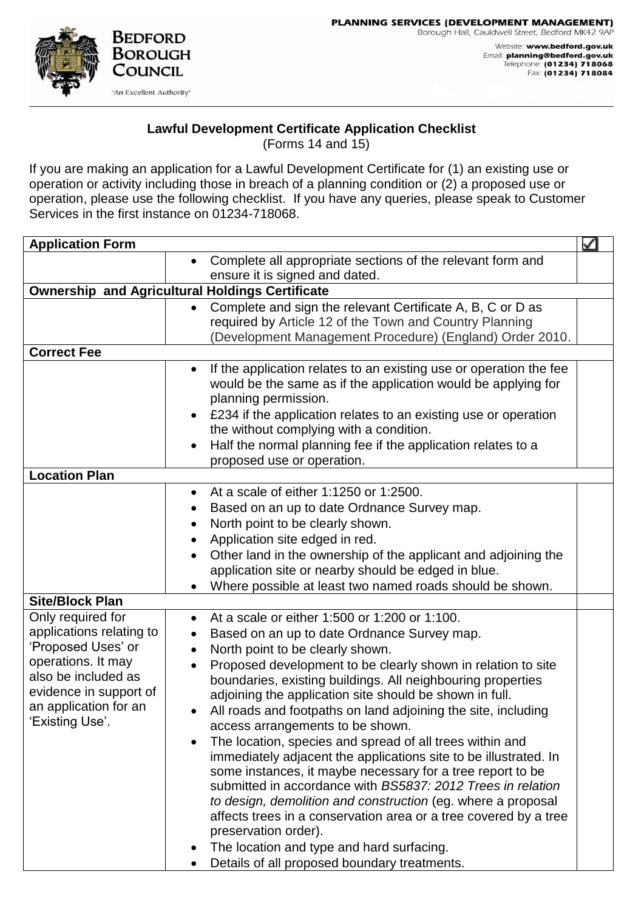PLANNING SERVICES (DEVELOPMENT MANAGEMENT) Borough Hall, Cauldwell Street, Bedford MK42 9AP Website: www.bedford.gov.uk Email: planning@bedford.gov.uk



## **Lawful Development Certificate Application Checklist**

(Forms 14 and 15)

If you are making an application for a Lawful Development Certificate for (1) an existing use or operation or activity including those in breach of a planning condition or (2) a proposed use or operation, please use the following checklist. If you have any queries, please speak to Customer Services in the first instance on 01234-718068.

| <b>Application Form</b>                                |                                                                                                         | ✓ |  |
|--------------------------------------------------------|---------------------------------------------------------------------------------------------------------|---|--|
|                                                        | Complete all appropriate sections of the relevant form and                                              |   |  |
|                                                        | ensure it is signed and dated.                                                                          |   |  |
| <b>Ownership and Agricultural Holdings Certificate</b> |                                                                                                         |   |  |
|                                                        | Complete and sign the relevant Certificate A, B, C or D as<br>$\bullet$                                 |   |  |
|                                                        | required by Article 12 of the Town and Country Planning                                                 |   |  |
|                                                        | (Development Management Procedure) (England) Order 2010.                                                |   |  |
| <b>Correct Fee</b>                                     |                                                                                                         |   |  |
|                                                        | If the application relates to an existing use or operation the fee<br>$\bullet$                         |   |  |
|                                                        | would be the same as if the application would be applying for                                           |   |  |
|                                                        | planning permission.                                                                                    |   |  |
|                                                        | £234 if the application relates to an existing use or operation                                         |   |  |
|                                                        | the without complying with a condition.                                                                 |   |  |
|                                                        | Half the normal planning fee if the application relates to a<br>$\bullet$<br>proposed use or operation. |   |  |
| <b>Location Plan</b>                                   |                                                                                                         |   |  |
|                                                        | At a scale of either 1:1250 or 1:2500.<br>$\bullet$                                                     |   |  |
|                                                        | Based on an up to date Ordnance Survey map.<br>٠                                                        |   |  |
|                                                        | North point to be clearly shown.                                                                        |   |  |
|                                                        | Application site edged in red.<br>٠                                                                     |   |  |
|                                                        | Other land in the ownership of the applicant and adjoining the                                          |   |  |
|                                                        | application site or nearby should be edged in blue.                                                     |   |  |
|                                                        | Where possible at least two named roads should be shown.                                                |   |  |
| <b>Site/Block Plan</b>                                 |                                                                                                         |   |  |
| Only required for                                      | At a scale or either 1:500 or 1:200 or 1:100.                                                           |   |  |
| applications relating to                               | Based on an up to date Ordnance Survey map.                                                             |   |  |
| 'Proposed Uses' or                                     | North point to be clearly shown.                                                                        |   |  |
| operations. It may                                     | Proposed development to be clearly shown in relation to site                                            |   |  |
| also be included as                                    | boundaries, existing buildings. All neighbouring properties                                             |   |  |
| evidence in support of                                 | adjoining the application site should be shown in full.                                                 |   |  |
| an application for an                                  | All roads and footpaths on land adjoining the site, including                                           |   |  |
| Existing Use'.                                         | access arrangements to be shown.                                                                        |   |  |
|                                                        | The location, species and spread of all trees within and<br>$\bullet$                                   |   |  |
|                                                        | immediately adjacent the applications site to be illustrated. In                                        |   |  |
|                                                        | some instances, it maybe necessary for a tree report to be                                              |   |  |
|                                                        | submitted in accordance with BS5837: 2012 Trees in relation                                             |   |  |
|                                                        | to design, demolition and construction (eg. where a proposal                                            |   |  |
|                                                        | affects trees in a conservation area or a tree covered by a tree                                        |   |  |
|                                                        | preservation order).                                                                                    |   |  |
|                                                        | The location and type and hard surfacing.                                                               |   |  |
|                                                        | Details of all proposed boundary treatments.                                                            |   |  |